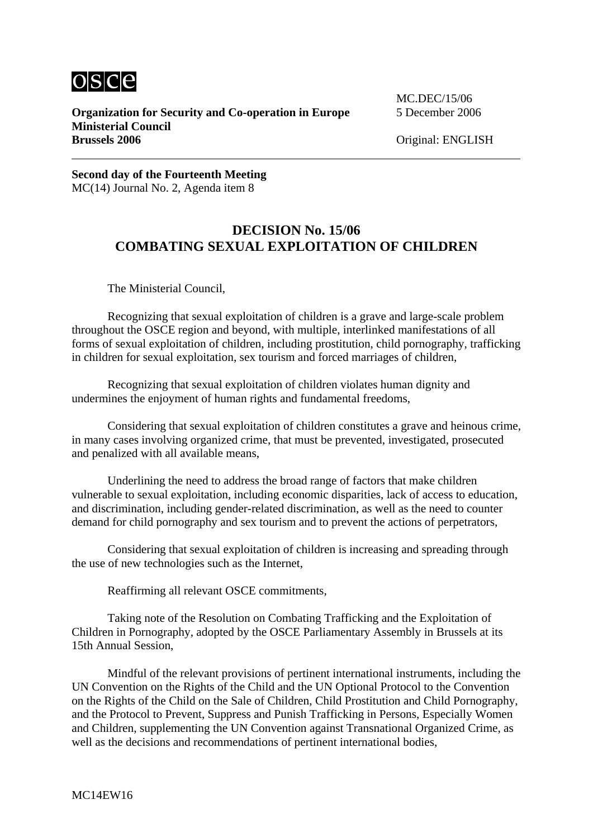

**Organization for Security and Co-operation in Europe** 5 December 2006 **Ministerial Council Brussels 2006** Original: ENGLISH

MC.DEC/15/06

**Second day of the Fourteenth Meeting**  MC(14) Journal No. 2, Agenda item 8

## **DECISION No. 15/06 COMBATING SEXUAL EXPLOITATION OF CHILDREN**

The Ministerial Council,

 Recognizing that sexual exploitation of children is a grave and large-scale problem throughout the OSCE region and beyond, with multiple, interlinked manifestations of all forms of sexual exploitation of children, including prostitution, child pornography, trafficking in children for sexual exploitation, sex tourism and forced marriages of children,

 Recognizing that sexual exploitation of children violates human dignity and undermines the enjoyment of human rights and fundamental freedoms,

 Considering that sexual exploitation of children constitutes a grave and heinous crime, in many cases involving organized crime, that must be prevented, investigated, prosecuted and penalized with all available means,

 Underlining the need to address the broad range of factors that make children vulnerable to sexual exploitation, including economic disparities, lack of access to education, and discrimination, including gender-related discrimination, as well as the need to counter demand for child pornography and sex tourism and to prevent the actions of perpetrators,

 Considering that sexual exploitation of children is increasing and spreading through the use of new technologies such as the Internet,

Reaffirming all relevant OSCE commitments,

 Taking note of the Resolution on Combating Trafficking and the Exploitation of Children in Pornography, adopted by the OSCE Parliamentary Assembly in Brussels at its 15th Annual Session,

 Mindful of the relevant provisions of pertinent international instruments, including the UN Convention on the Rights of the Child and the UN Optional Protocol to the Convention on the Rights of the Child on the Sale of Children, Child Prostitution and Child Pornography, and the Protocol to Prevent, Suppress and Punish Trafficking in Persons, Especially Women and Children, supplementing the UN Convention against Transnational Organized Crime, as well as the decisions and recommendations of pertinent international bodies,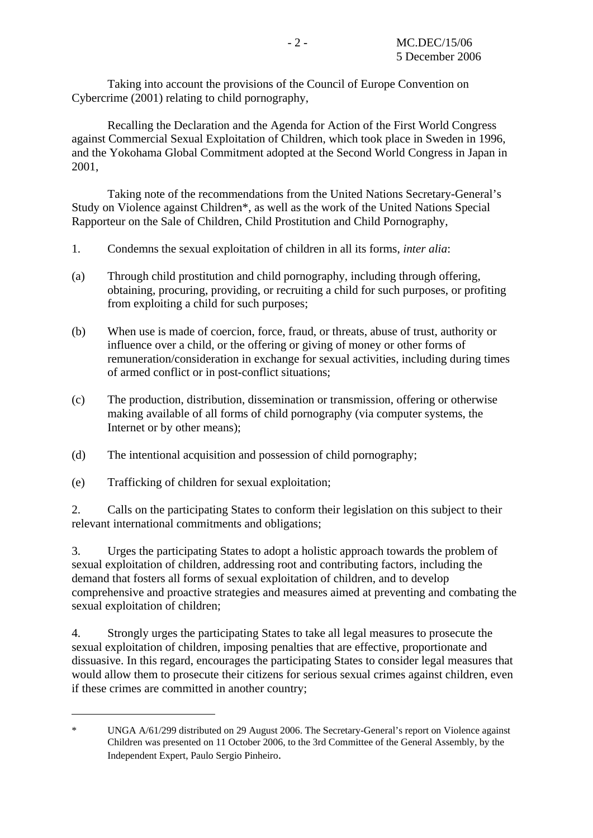Taking into account the provisions of the Council of Europe Convention on Cybercrime (2001) relating to child pornography,

 Recalling the Declaration and the Agenda for Action of the First World Congress against Commercial Sexual Exploitation of Children, which took place in Sweden in 1996, and the Yokohama Global Commitment adopted at the Second World Congress in Japan in 2001,

 Taking note of the recommendations from the United Nations Secretary-General's Study on Violence against Children\*, as well as the work of the United Nations Special Rapporteur on the Sale of Children, Child Prostitution and Child Pornography,

- 1. Condemns the sexual exploitation of children in all its forms, *inter alia*:
- (a) Through child prostitution and child pornography, including through offering, obtaining, procuring, providing, or recruiting a child for such purposes, or profiting from exploiting a child for such purposes;
- (b) When use is made of coercion, force, fraud, or threats, abuse of trust, authority or influence over a child, or the offering or giving of money or other forms of remuneration/consideration in exchange for sexual activities, including during times of armed conflict or in post-conflict situations;
- (c) The production, distribution, dissemination or transmission, offering or otherwise making available of all forms of child pornography (via computer systems, the Internet or by other means);
- (d) The intentional acquisition and possession of child pornography;
- (e) Trafficking of children for sexual exploitation;

1

2. Calls on the participating States to conform their legislation on this subject to their relevant international commitments and obligations;

3. Urges the participating States to adopt a holistic approach towards the problem of sexual exploitation of children, addressing root and contributing factors, including the demand that fosters all forms of sexual exploitation of children, and to develop comprehensive and proactive strategies and measures aimed at preventing and combating the sexual exploitation of children;

4. Strongly urges the participating States to take all legal measures to prosecute the sexual exploitation of children, imposing penalties that are effective, proportionate and dissuasive. In this regard, encourages the participating States to consider legal measures that would allow them to prosecute their citizens for serious sexual crimes against children, even if these crimes are committed in another country;

<sup>\*</sup> UNGA A/61/299 distributed on 29 August 2006. The Secretary-General's report on Violence against Children was presented on 11 October 2006, to the 3rd Committee of the General Assembly, by the Independent Expert, Paulo Sergio Pinheiro.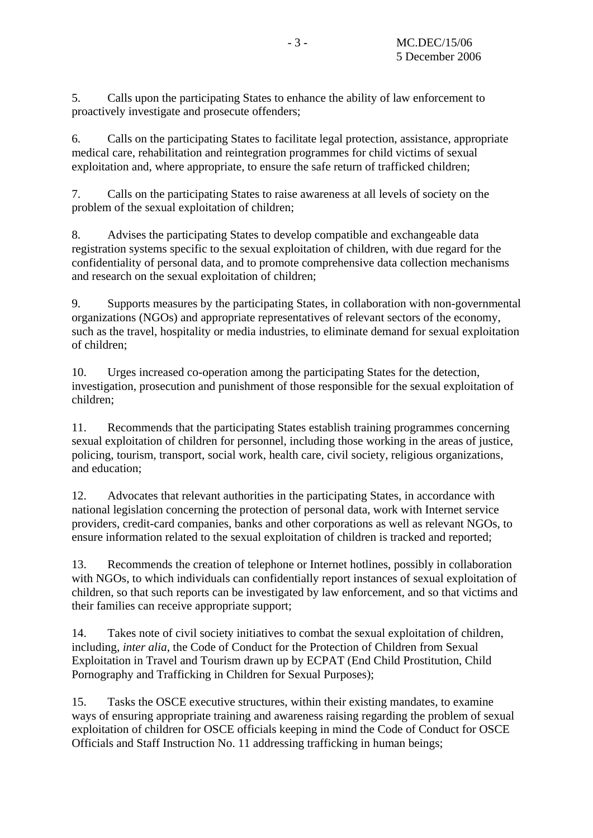5. Calls upon the participating States to enhance the ability of law enforcement to proactively investigate and prosecute offenders;

6. Calls on the participating States to facilitate legal protection, assistance, appropriate medical care, rehabilitation and reintegration programmes for child victims of sexual exploitation and, where appropriate, to ensure the safe return of trafficked children;

7. Calls on the participating States to raise awareness at all levels of society on the problem of the sexual exploitation of children;

8. Advises the participating States to develop compatible and exchangeable data registration systems specific to the sexual exploitation of children, with due regard for the confidentiality of personal data, and to promote comprehensive data collection mechanisms and research on the sexual exploitation of children;

9. Supports measures by the participating States, in collaboration with non-governmental organizations (NGOs) and appropriate representatives of relevant sectors of the economy, such as the travel, hospitality or media industries, to eliminate demand for sexual exploitation of children;

10. Urges increased co-operation among the participating States for the detection, investigation, prosecution and punishment of those responsible for the sexual exploitation of children;

11. Recommends that the participating States establish training programmes concerning sexual exploitation of children for personnel, including those working in the areas of justice, policing, tourism, transport, social work, health care, civil society, religious organizations, and education;

12. Advocates that relevant authorities in the participating States, in accordance with national legislation concerning the protection of personal data, work with Internet service providers, credit-card companies, banks and other corporations as well as relevant NGOs, to ensure information related to the sexual exploitation of children is tracked and reported;

13. Recommends the creation of telephone or Internet hotlines, possibly in collaboration with NGOs, to which individuals can confidentially report instances of sexual exploitation of children, so that such reports can be investigated by law enforcement, and so that victims and their families can receive appropriate support;

14. Takes note of civil society initiatives to combat the sexual exploitation of children, including, *inter alia*, the Code of Conduct for the Protection of Children from Sexual Exploitation in Travel and Tourism drawn up by ECPAT (End Child Prostitution, Child Pornography and Trafficking in Children for Sexual Purposes);

15. Tasks the OSCE executive structures, within their existing mandates, to examine ways of ensuring appropriate training and awareness raising regarding the problem of sexual exploitation of children for OSCE officials keeping in mind the Code of Conduct for OSCE Officials and Staff Instruction No. 11 addressing trafficking in human beings;